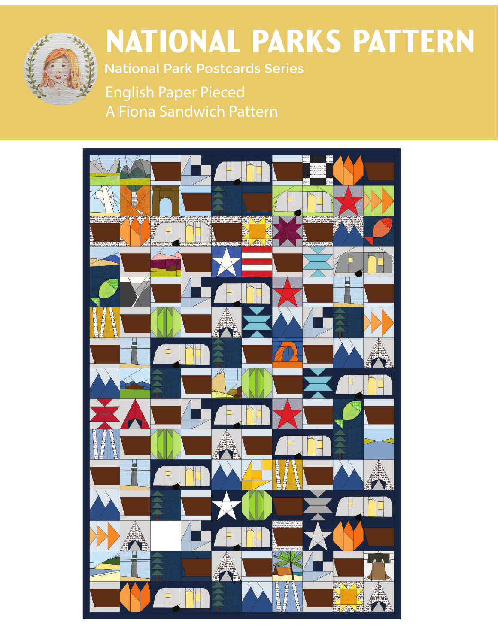

# National Parks Pattern

National Park Postcards Series

English Paper Pieced A Fiona Sandwich Pattern

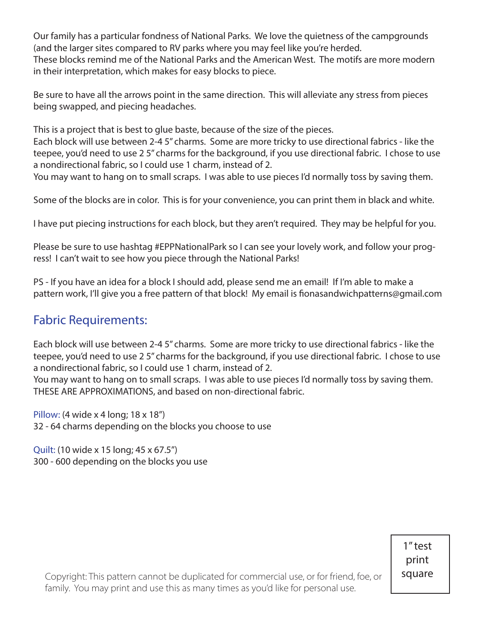Our family has a particular fondness of National Parks. We love the quietness of the campgrounds (and the larger sites compared to RV parks where you may feel like you're herded. These blocks remind me of the National Parks and the American West. The motifs are more modern in their interpretation, which makes for easy blocks to piece.

Be sure to have all the arrows point in the same direction. This will alleviate any stress from pieces being swapped, and piecing headaches.

This is a project that is best to glue baste, because of the size of the pieces.

Each block will use between 2-4 5" charms. Some are more tricky to use directional fabrics - like the teepee, you'd need to use 2 5" charms for the background, if you use directional fabric. I chose to use a nondirectional fabric, so I could use 1 charm, instead of 2.

You may want to hang on to small scraps. I was able to use pieces I'd normally toss by saving them.

Some of the blocks are in color. This is for your convenience, you can print them in black and white.

I have put piecing instructions for each block, but they aren't required. They may be helpful for you.

Please be sure to use hashtag #EPPNationalPark so I can see your lovely work, and follow your progress! I can't wait to see how you piece through the National Parks!

PS - If you have an idea for a block I should add, please send me an email! If I'm able to make a pattern work, I'll give you a free pattern of that block! My email is fionasandwichpatterns@gmail.com

# Fabric Requirements:

Each block will use between 2-4 5" charms. Some are more tricky to use directional fabrics - like the teepee, you'd need to use 2 5" charms for the background, if you use directional fabric. I chose to use a nondirectional fabric, so I could use 1 charm, instead of 2.

You may want to hang on to small scraps. I was able to use pieces I'd normally toss by saving them. THESE ARE APPROXIMATIONS, and based on non-directional fabric.

Pillow: (4 wide x 4 long; 18 x 18") 32 - 64 charms depending on the blocks you choose to use

Quilt: (10 wide x 15 long; 45 x 67.5") 300 - 600 depending on the blocks you use

> 1" test print square

Copyright: This pattern cannot be duplicated for commercial use, or for friend, f Í amily. You may print and use this as many times as you'd like for personal use.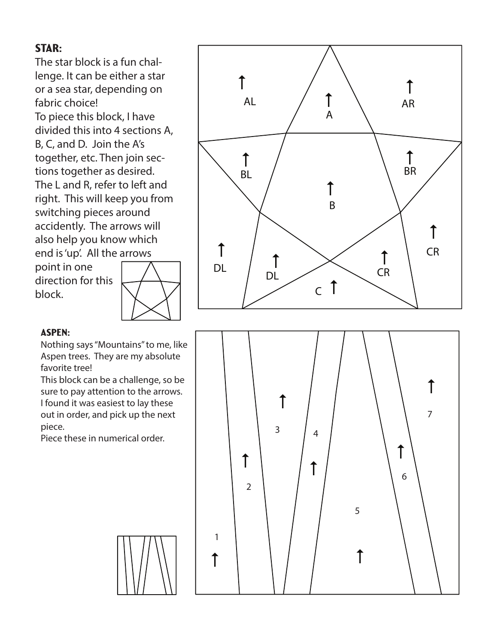# STAR:

The star block is a fun chal lenge. It can be either a star or a sea star, depending on fabric choice! To piece this block, I have divided this into 4 sections A, B, C, and D. Join the A's together, etc. Then join sec tions together as desired. The L and R, refer to left and right. This will keep you from switching pieces around accidently. The arrows will also help you know which end is 'up'. All the arrows

point in one direction for this block.





#### Aspen:

Nothing says "Mountains" to me, like Aspen trees. They are my absolute favorite tree!

This block can be a challenge, so be sure to pay attention to the arrows. I found it was easiest to lay these out in order, and pick up the next piece.

Piece these in numerical order.

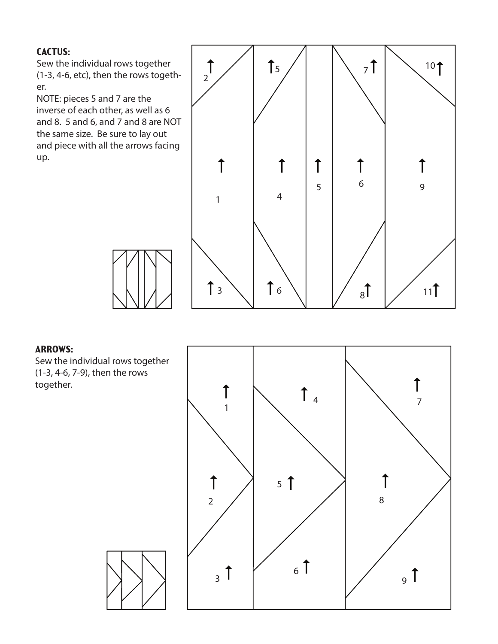#### CACTUS:

Sew the individual rows together (1-3, 4-6, etc), then the rows together.

NOTE: pieces 5 and 7 are the inverse of each other, as well as 6 and 8. 5 and 6, and 7 and 8 are NOT the same size. Be sure to lay out and piece with all the arrows facing up.



#### **ARROWS:**

Sew the individual rows together (1-3, 4-6, 7-9), then the rows together.

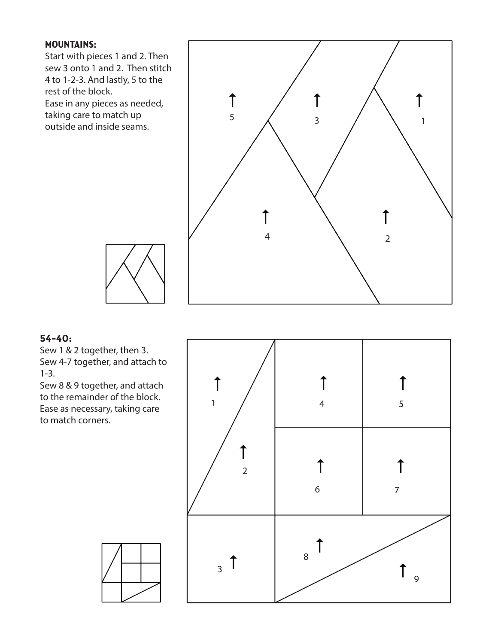#### Mountains:

Start with pieces 1 and 2. Then sew 3 onto 1 and 2. Then stitch 4 to 1-2-3. And lastly, 5 to the rest of the block. Ease in any pieces as needed, taking care to match up

outside and inside seams.



#### **54-40:**

Sew 1 & 2 together, then 3. Sew 4-7 together, and attach to 1-3.

Sew 8 & 9 together, and attach to the remainder of the block. Ease as necessary, taking care to match corners.

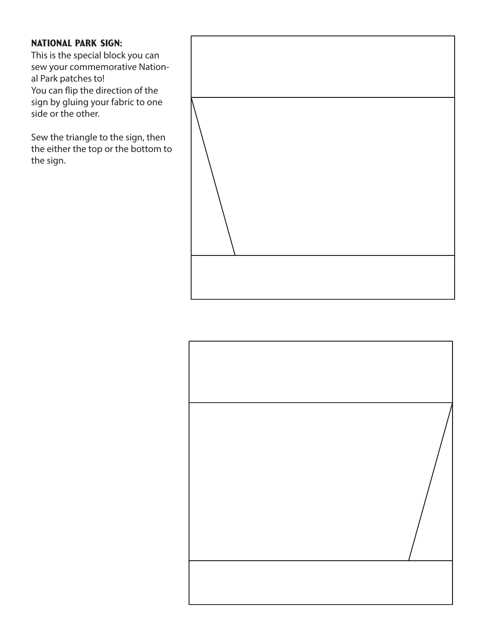#### National Park Sign:

This is the special block you can sew your commemorative National Park patches to! You can flip the direction of the sign by gluing your fabric to one side or the other.

Sew the triangle to the sign, then the either the top or the bottom to the sign.



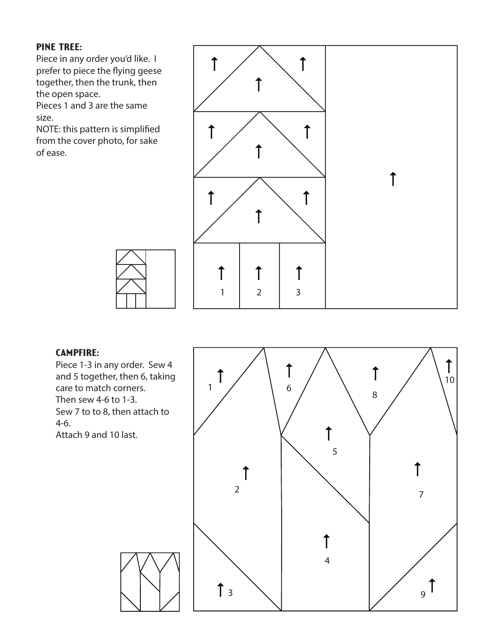#### Pine Tree:

Piece in any order you'd like. I prefer to piece the flying geese together, then the trunk, then the open space.

Pieces 1 and 3 are the same size.

NOTE: this pattern is simplified from the cover photo, for sake of ease.

![](_page_6_Figure_4.jpeg)

#### Campfire:

Piece 1-3 in any order. Sew 4 and 5 together, then 6, taking care to match corners. Then sew 4-6 to 1-3. Sew 7 to to 8, then attach to 4-6.

Attach 9 and 10 last.

![](_page_6_Figure_8.jpeg)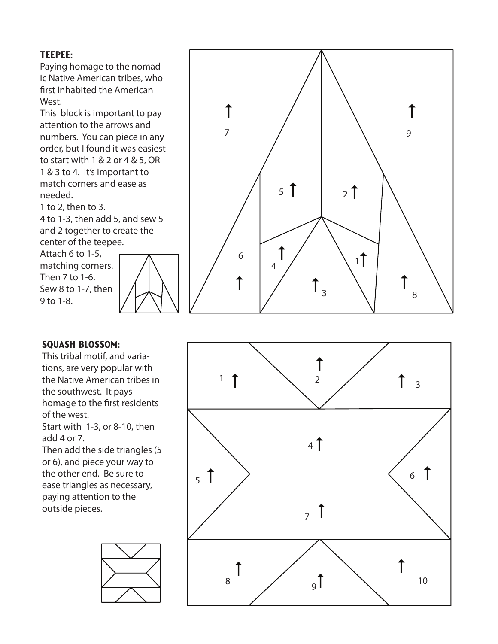#### Teepee:

Paying homage to the nomad ic Native American tribes, who first inhabited the American West.

This block is important to pay attention to the arrows and numbers. You can piece in any order, but I found it was easiest to start with 1 & 2 or 4 & 5, OR 1 & 3 to 4. It's important to match corners and ease as needed.

1 to 2, then to 3.

4 to 1-3, then add 5, and sew 5 and 2 together to create the center of the teepee.

Attach 6 to 1-5, matching corners. Then 7 to 1-6. Sew 8 to 1-7, then 9 to 1-8.

![](_page_7_Figure_6.jpeg)

![](_page_7_Figure_7.jpeg)

#### Squash Blossom:

This tribal motif, and varia tions, are very popular with the Native American tribes in the southwest. It pays homage to the first residents of the west.

Start with 1-3, or 8-10, then add 4 or 7.

Then add the side triangles (5 or 6), and piece your way to the other end. Be sure to ease triangles as necessary, paying attention to the outside pieces.

![](_page_7_Figure_12.jpeg)

![](_page_7_Figure_13.jpeg)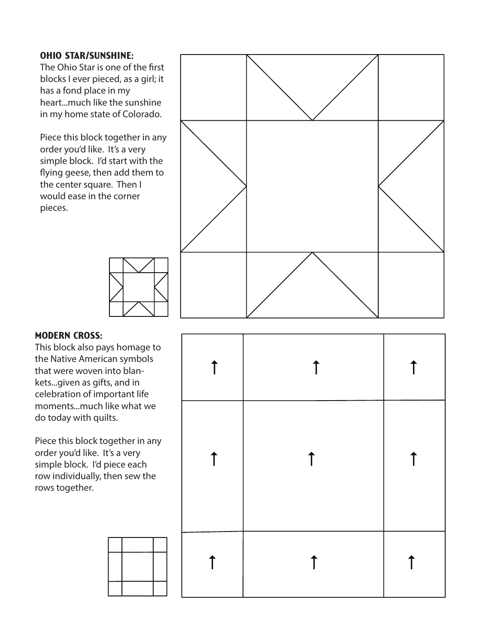#### Ohio Star/Sunshine:

The Ohio Star is one of the first blocks I ever pieced, as a girl; it has a fond place in my heart...much like the sunshine in my home state of Colorado.

Piece this block together in any order you'd like. It's a very simple block. I'd start with the flying geese, then add them to the center square. Then I would ease in the corner pieces.

![](_page_8_Figure_3.jpeg)

#### Modern Cross:

This block also pays homage to the Native American symbols that were woven into blan kets...given as gifts, and in celebration of important life moments...much like what we do today with quilts.

Piece this block together in any order you'd like. It's a very simple block. I'd piece each row individually, then sew the rows together.

| $\uparrow$ | $\uparrow$ | $\uparrow$ |
|------------|------------|------------|
| $\uparrow$ | $\uparrow$ | $\uparrow$ |
|            | $\uparrow$ | ↑          |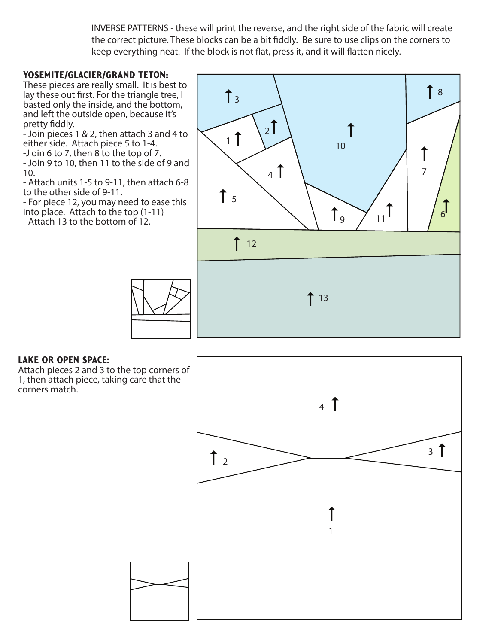INVERSE PATTERNS - these will print the reverse, and the right side of the fabric will create the correct picture. These blocks can be a bit fiddly. Be sure to use clips on the corners to keep everything neat. If the block is not flat, press it, and it will flatten nicely.

#### Yosemite/Glacier/Grand Teton**:**

These pieces are really small. It is best to lay these out first. For the triangle tree, I basted only the inside, and the bottom, and left the outside open, because it's pretty fiddly.

- Join pieces 1 & 2, then attach 3 and 4 to either side. Attach piece 5 to 1-4.

-J oin 6 to 7, then 8 to the top of 7.

- Join 9 to 10, then 11 to the side of 9 and 10.

- Attach units 1-5 to 9-11, then attach 6-8 to the other side of 9-11.

- For piece 12, you may need to ease this into place. Attach to the top (1-11)

- Attach 13 to the bottom of 12.

![](_page_9_Figure_9.jpeg)

#### Lake or Open Space:

Attach pieces 2 and 3 to the top corners of 1, then attach piece, taking care that the corners match.

![](_page_9_Figure_12.jpeg)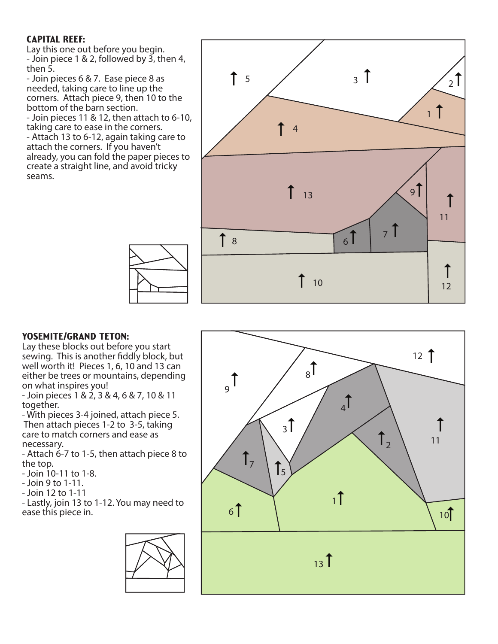#### Capital Reef:

Lay this one out before you begin. - Join piece 1 & 2, followed by 3, then 4, then 5.

- Join pieces 6 & 7. Ease piece 8 as needed, taking care to line up the corners. Attach piece 9, then 10 to the bottom of the barn section. - Join pieces 11 & 12, then attach to 6-10, taking care to ease in the corners.

- Attach 13 to 6-12, again taking care to attach the corners. If you haven't already, you can fold the paper pieces to create a straight line, and avoid tricky seams.

![](_page_10_Figure_4.jpeg)

#### YOSEMITE/GRAND TETON:

Lay these blocks out before you start sewing. This is another fiddly block, but well worth it! Pieces 1, 6, 10 and 13 can either be trees or mountains, depending on what inspires you!

- Join pieces 1 & 2, 3 & 4, 6 & 7, 10 & 11 together.

- With pieces 3-4 joined, attach piece 5. Then attach pieces 1-2 to 3-5, taking care to match corners and ease as necessary.

- Attach 6-7 to 1-5, then attach piece 8 to the top.

- Join 10-11 to 1-8.
- Join 9 to 1-11.
- Join 12 to 1-11

- Lastly, join 13 to 1-12. You may need to ease this piece in.

![](_page_10_Figure_14.jpeg)

![](_page_10_Figure_15.jpeg)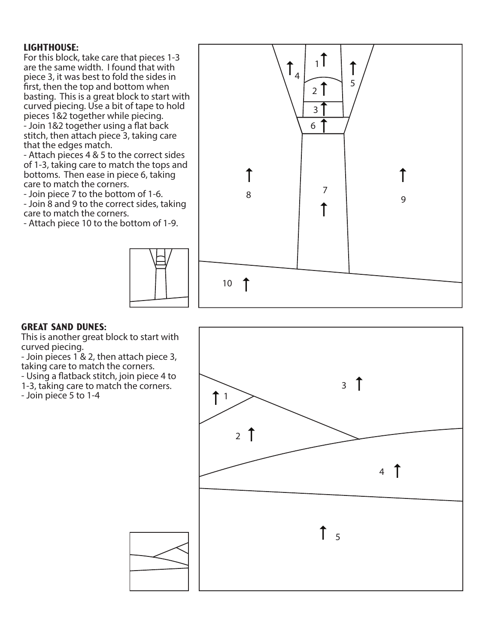#### Lighthouse:

For this block, take care that pieces 1-3 are the same width. I found that with piece 3, it was best to fold the sides in first, then the top and bottom when basting. This is a great block to start with curved piecing. Use a bit of tape to hold pieces 1&2 together while piecing. - Join 1&2 together using a flat back stitch, then attach piece 3, taking care that the edges match.

- Attach pieces 4 & 5 to the correct sides of 1-3, taking care to match the tops and bottoms. Then ease in piece 6, taking care to match the corners.

- Join piece 7 to the bottom of 1-6.

- Join 8 and 9 to the correct sides, taking care to match the corners.

- Attach piece 10 to the bottom of 1-9.

![](_page_11_Figure_6.jpeg)

![](_page_11_Figure_7.jpeg)

#### Great Sand Dunes:

This is another great block to start with curved piecing.

- Join pieces 1 & 2, then attach piece 3, taking care to match the corners.

- Using a flatback stitch, join piece 4 to

1-3, taking care to match the corners.

![](_page_11_Figure_14.jpeg)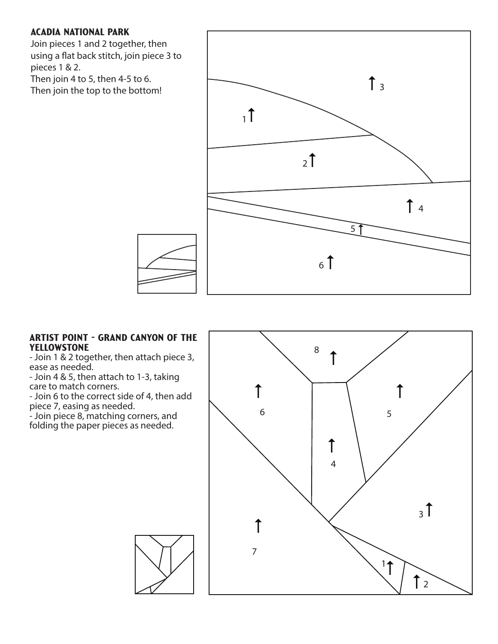#### Acadia National Park

Join pieces 1 and 2 together, then using a flat back stitch, join piece 3 to pieces 1 & 2.

Then join 4 to 5, then 4-5 to 6. Then join the top to the bottom!

![](_page_12_Figure_3.jpeg)

#### Artist Point - Grand Canyon of the Yellowstone

- Join 1 & 2 together, then attach piece 3, ease as needed.

- Join 4 & 5, then attach to 1-3, taking care to match corners.

- Join 6 to the correct side of 4, then add piece 7, easing as needed.

- Join piece 8, matching corners, and folding the paper pieces as needed.

![](_page_12_Figure_9.jpeg)

![](_page_12_Picture_10.jpeg)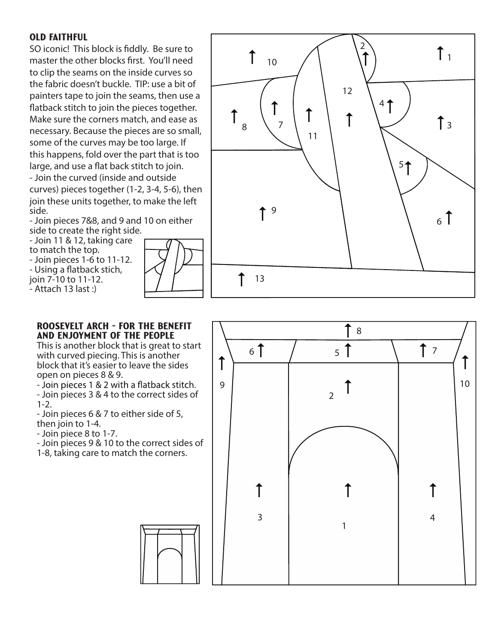#### **OLD FAITHFUL**

SO iconic! This block is fiddly. Be sure to master the other blocks first. You'll need to clip the seams on the inside curves so the fabric doesn't buckle. TIP: use a bit of painters tape to join the seams, then use a flatback stitch to join the pieces together. Make sure the corners match, and ease as necessary. Because the pieces are so small, some of the curves may be too large. If this happens, fold over the part that is too large, and use a flat back stitch to join.

- Join the curved (inside and outside curves) pieces together (1-2, 3-4, 5-6), then join these units together, to make the left side.

- Join pieces 7&8, and 9 and 10 on either side to create the right side.

- Join 11 & 12, taking care to match the top. - Join pieces 1-6 to 11-12. - Using a flatback stich, join 7-10 to 11-12. - Attach 13 last :)

![](_page_13_Figure_5.jpeg)

![](_page_13_Figure_6.jpeg)

#### ROOSEVELT ARCH - FOR THE BENEFIT AND ENJOYMENT OF THE PEOPLE

This is another block that is great to start with curved piecing. This is another block that it's easier to leave the sides open on pie ces 8 & 9.

- Join pieces 3 & 4 to the correct sides of 1-2.

- Join pie ces 6 & 7 to either side of 5, then join to 1-4.

- Join piece 8 to 1-7.

- Join pieces 9 & 10 to the correct sides of 1-8, taking care to match the corners.

![](_page_13_Figure_13.jpeg)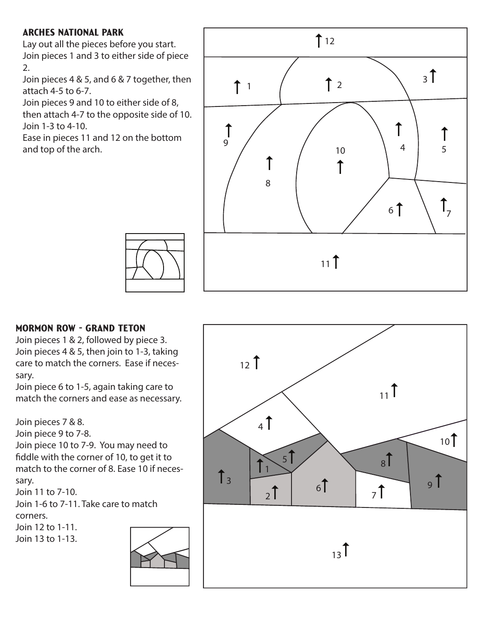### Arches National Park

Lay out all the pieces before you start. Join pieces 1 and 3 to either side of piece 2.

Join pieces 4 & 5, and 6 & 7 together, then attach 4-5 to 6-7.

Join pieces 9 and 10 to either side of 8, then attach 4-7 to the opposite side of 10. Join 1-3 to 4-10.

Ease in pieces 11 and 12 on the bottom and top of the arch.

![](_page_14_Figure_5.jpeg)

#### Mormon Row - Grand Teton

Join pieces 1 & 2, followed by piece 3. Join pieces 4 & 5, then join to 1-3, taking care to match the corners. Ease if necessary.

Join piece 6 to 1-5, again taking care to match the corners and ease as necessary.

Join pieces 7 & 8.

Join piece 9 to 7-8.

Join piece 10 to 7-9. You may need to fiddle with the corner of 10, to get it to match to the corner of 8. Ease 10 if necessary.

Join 11 to 7-10.

Join 1-6 to 7-11. Take care to match corners.

Join 12 to 1-11.

Join 13 to 1-13.

![](_page_14_Picture_16.jpeg)

![](_page_14_Figure_17.jpeg)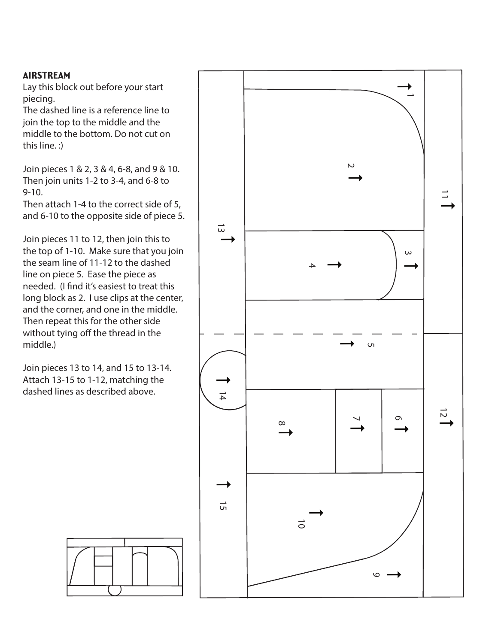#### Airstream

Lay this block out before your start piecing.

The dashed line is a reference line to join the top to the middle and the middle to the bottom. Do not cut on this line. :)

Join pieces 1 & 2, 3 & 4, 6-8, and 9 & 10. Then join units 1-2 to 3-4, and 6-8 to 9-10.

Then attach 1-4 to the correct side of 5, and 6-10 to the opposite side of piece 5.

Join pieces 11 to 12, then join this to the top of 1-10. Make sure that you join the seam line of 11-12 to the dashed line on piece 5. Ease the piece as needed. (I find it's easiest to treat this long block as 2. I use clips at the center, and the corner, and one in the middle. Then repeat this for the other side without tying off the thread in the middle.)

Join pieces 13 to 14, and 15 to 13-14. Attach 13-15 to 1-12, matching the dashed lines as described above.

![](_page_15_Figure_7.jpeg)

![](_page_15_Figure_8.jpeg)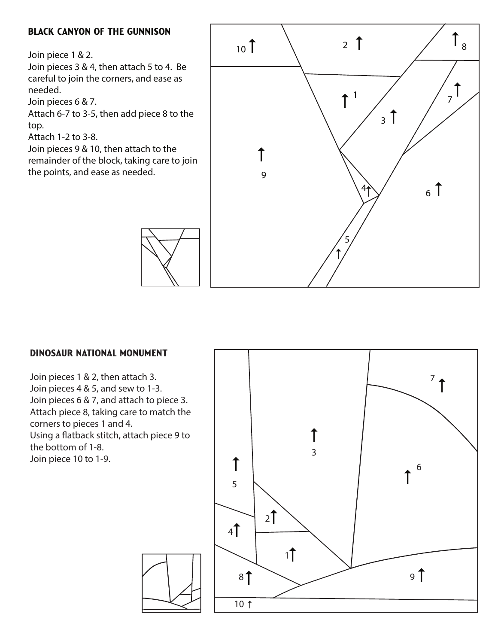#### Black Canyon of the Gunnison

Join piece 1 & 2.

Join pieces 3 & 4, then attach 5 to 4. Be careful to join the corners, and ease as needed.

Join pieces 6 & 7.

Attach 6-7 to 3-5, then add piece 8 to the top.

Attach 1-2 to 3-8.

Join pieces 9 & 10, then attach to the remainder of the block, taking care to join the points, and ease as needed.

![](_page_16_Figure_7.jpeg)

#### Dinosaur National Monument

Join pieces 1 & 2, then attach 3. Join pieces 4 & 5, and sew to 1-3. Join pieces 6 & 7, and attach to piece 3. Attach piece 8, taking care to match the corners to pieces 1 and 4. Using a flatback stitch, attach piece 9 to the bottom of 1-8. Join piece 10 to 1-9.

![](_page_16_Figure_10.jpeg)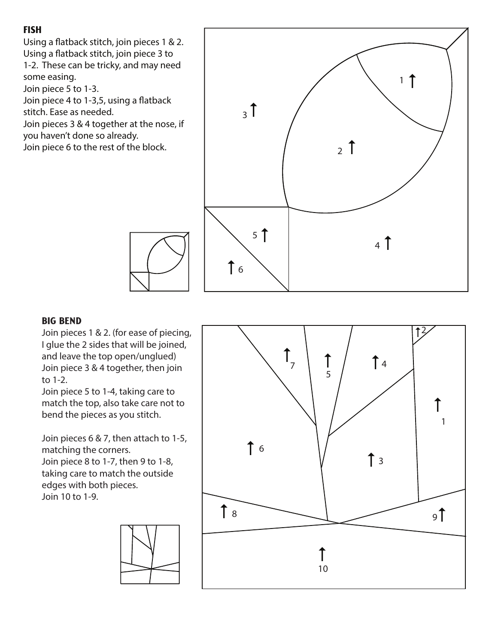# Fish

Using a flatback stitch, join pieces 1 & 2. Using a flatback stitch, join piece 3 to 1-2. These can be tricky, and may need some easing. Join piece 5 to 1-3. Join piece 4 to 1-3,5, using a flatback stitch. Ease as needed. Join pieces 3 & 4 together at the nose, if you haven't done so already. Join piece 6 to the rest of the block.

![](_page_17_Figure_2.jpeg)

#### **BIG BEND**

Join pieces 1 & 2. (for ease of piecing, I glue the 2 sides that will be joined, and leave the top open/unglued) Join piece 3 & 4 together, then join to 1-2.

Join piece 5 to 1-4, taking care to match the top, also take care not to bend the pieces as you stitch.

Join pieces 6 & 7, then attach to 1-5, matching the corners. Join piece 8 to 1-7, then 9 to 1-8, taking care to match the outside edges with both pieces. Join 10 to 1-9.

![](_page_17_Figure_7.jpeg)

![](_page_17_Figure_8.jpeg)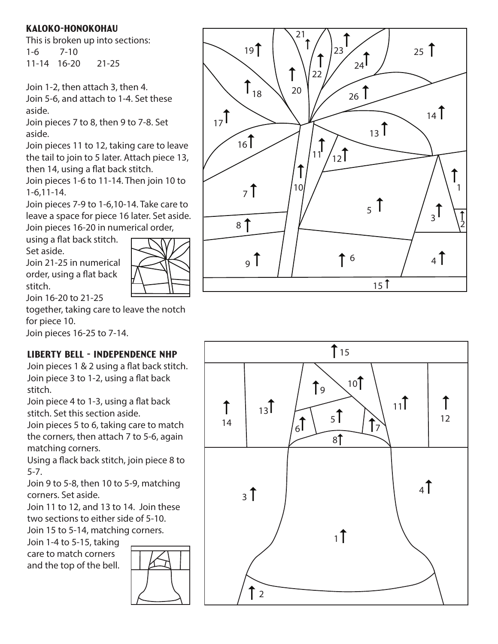### Kaloko-Honokohau

This is broken up into sections: 1-6 7-10 11-14 16-20 21-25

Join 1-2, then attach 3, then 4. Join 5-6, and attach to 1-4. Set these aside.

Join pieces 7 to 8, then 9 to 7-8. Set aside.

Join pieces 11 to 12, taking care to leave the tail to join to 5 later. Attach piece 13, then 14, using a flat back stitch.

Join pieces 1-6 to 11-14. Then join 10 to 1-6,11-14.

Join pieces 7-9 to 1-6,10-14. Take care to leave a space for piece 16 later. Set aside. Join pieces 16-20 in numerical order,

using a flat back stitch.

Set aside.

Join 21-25 in numerical order, using a flat back

![](_page_18_Picture_10.jpeg)

![](_page_18_Figure_11.jpeg)

together, taking care to leave the notch for piece 10.

Join pieces 16-25 to 7-14.

# Liberty Bell - Independence NHP

Join pieces 1 & 2 using a flat back stitch. Join piece 3 to 1-2, using a flat back stitch.

Join piece 4 to 1-3, using a flat back stitch. Set this section aside.

Join pieces 5 to 6, taking care to match the corners, then attach 7 to 5-6, again matching corners.

Using a flack back stitch, join piece 8 to 5-7.

Join 9 to 5-8, then 10 to 5-9, matching corners. Set aside.

Join 11 to 12, and 13 to 14. Join these two sections to either side of 5-10. Join 15 to 5-14, matching corners.

Join 1-4 to 5-15, taking care to match corners and the top of the bell.

![](_page_18_Figure_22.jpeg)

![](_page_18_Figure_23.jpeg)

![](_page_18_Figure_24.jpeg)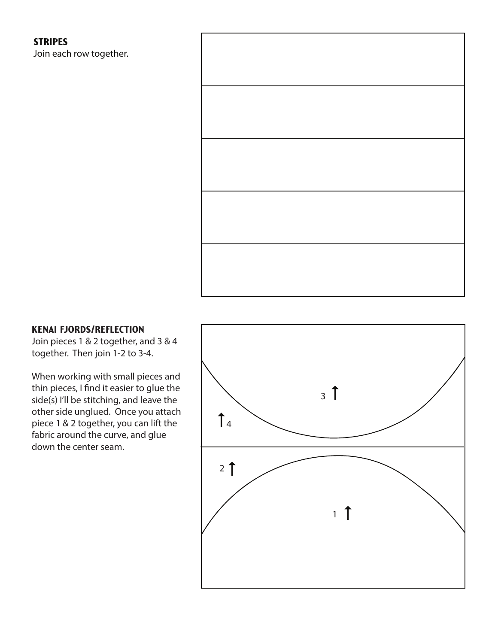#### **STRIPES**

Join each row together.

![](_page_19_Picture_2.jpeg)

#### Kenai Fjords/Reflection

Join pieces 1 & 2 together, and 3 & 4 together. Then join 1-2 to 3-4.

When working with small pieces and thin pieces, I find it easier to glue the side(s) I'll be stitching, and leave the other side unglued. Once you attach piece 1 & 2 together, you can lift the fabric around the curve, and glue down the center seam.

![](_page_19_Figure_6.jpeg)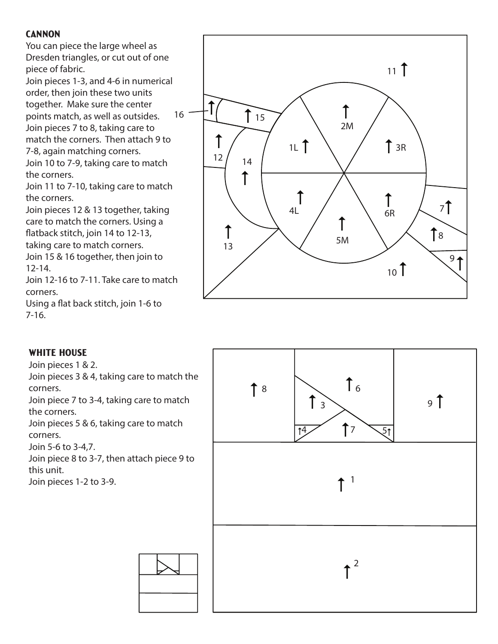#### **CANNON**

You can piece the large wheel as Dresden triangles, or cut out of one piece of fabric.

Join pieces 1-3, and 4-6 in numerical order, then join these two units together. Make sure the center points match, as well as outsides. Join pieces 7 to 8, taking care to

match the corners. Then attach 9 to 7-8, again matching corners. Join 10 to 7-9, taking care to match

the corners.

Join 11 to 7-10, taking care to match the corners.

Join pieces 12 & 13 together, taking care to match the corners. Using a flatback stitch, join 14 to 12-13, taking care to match corners.

Join 15 & 16 together, then join to 12-14.

Join 12-16 to 7-11. Take care to match corners.

Using a flat back stitch, join 1-6 to 7-16.

![](_page_20_Figure_10.jpeg)

#### WHITE HOUSE

Join pieces 1 & 2.

Join pieces 3 & 4, taking care to match the corners.

Join piece 7 to 3-4, taking care to match the corners.

Join pieces 5 & 6, taking care to match corners.

Join 5-6 to 3-4,7.

Join piece 8 to 3-7, then attach piece 9 to this unit.

Join pieces 1-2 to 3-9.

![](_page_20_Figure_19.jpeg)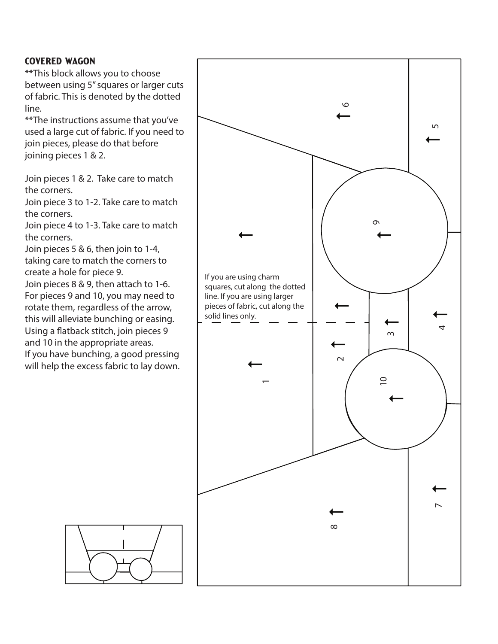#### Covered Wagon

\*\*This block allows you to choose between using 5" squares or larger cuts of fabric. This is denoted by the dotted line.

\*\*The instructions assume that you've used a large cut of fabric. If you need to join pieces, please do that before joining pieces 1 & 2.

Join pieces 1 & 2. Take care to match the corners.

Join piece 3 to 1-2. Take care to match the corners.

Join piece 4 to 1-3. Take care to match the corners.

Join pieces 5 & 6, then join to 1-4, taking care to match the corners to create a hole for piece 9.

Join pieces 8 & 9, then attach to 1-6. For pieces 9 and 10, you may need to rotate them, regardless of the arrow, this will alleviate bunching or easing. Using a flatback stitch, join pieces 9 and 10 in the appropriate areas. If you have bunching, a good pressing will help the excess fabric to lay down.

![](_page_21_Figure_8.jpeg)

![](_page_21_Figure_9.jpeg)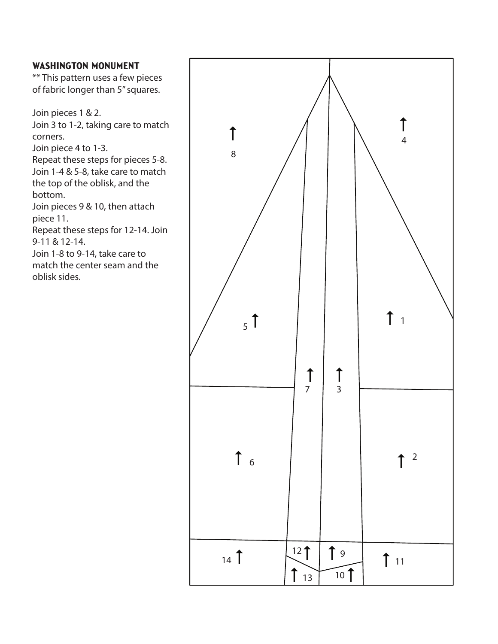#### WASHINGTON MONUMENT

\*\* This pattern uses a few pieces of fabric longer than 5" squares.

Join pieces 1 & 2. Join 3 to 1-2, taking care to match corners.

Join piece 4 to 1-3.

Repeat these steps for pieces 5-8. Join 1-4 & 5-8, take care to match the top of the oblisk, and the bottom.

Join pieces 9 & 10, then attach piece 11.

Repeat these steps for 12-14. Join 9-11 & 12-14.

Join 1-8 to 9-14, take care to match the center seam and the oblisk sides.

![](_page_22_Figure_8.jpeg)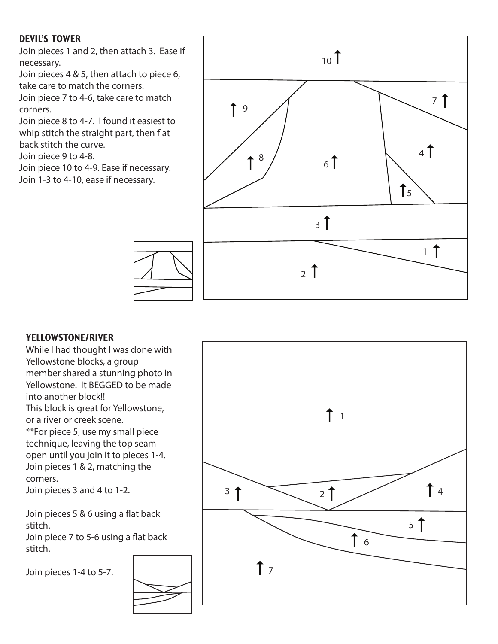#### Devil's Tower

Join pieces 1 and 2, then attach 3. Ease if necessary.

Join pieces 4 & 5, then attach to piece 6, take care to match the corners.

Join piece 7 to 4-6, take care to match corners.

Join piece 8 to 4-7. I found it easiest to whip stitch the straight part, then flat back stitch the curve.

Join piece 9 to 4-8.

Join piece 10 to 4-9. Ease if necessary. Join 1-3 to 4-10, ease if necessary.

![](_page_23_Figure_7.jpeg)

#### Yellowstone/River

While I had thought I was done with Yellowstone blocks, a group member shared a stunning photo in Yellowstone. It BEGGED to be made into another block!! This block is great for Yellowstone, or a river or creek scene. \*\*For piece 5, use my small piece technique, leaving the top seam open until you join it to pieces 1-4. Join pieces 1 & 2, matching the corners.

Join pieces 3 and 4 to 1-2.

Join pieces  $5 & 6$  using a flat back stitch.

Join piece 7 to 5-6 using a flat back stitch.

Join pieces 1-4 to 5-7.

![](_page_23_Picture_14.jpeg)

![](_page_23_Figure_15.jpeg)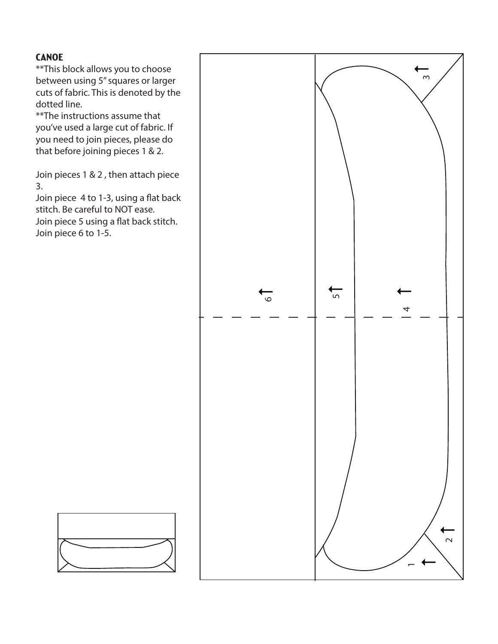#### **CANOE**

\*\*This block allows you to choose between using 5" squares or larger cuts of fabric. This is denoted by the dotted line.

\*\*The instructions assume that you've used a large cut of fabric. If you need to join pieces, please do that before joining pieces 1 & 2.

Join pieces 1 & 2 , then attach piece 3.

Join piece 4 to 1-3, using a flat back stitch. Be careful to NOT ease. Join piece 5 using a flat back stitch. Join piece 6 to 1-5.

![](_page_24_Figure_5.jpeg)

![](_page_24_Figure_6.jpeg)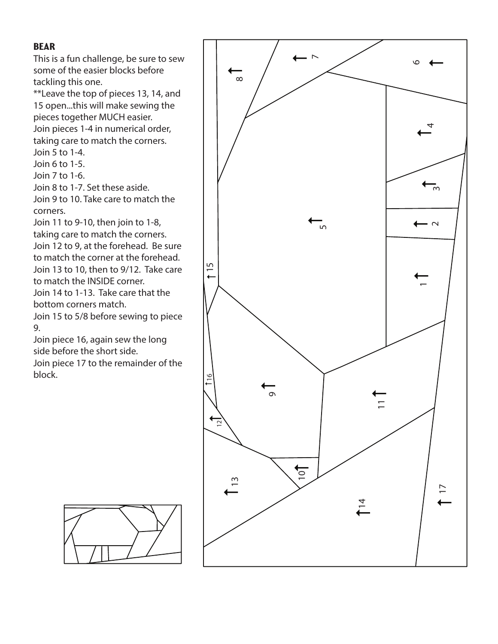#### **BEAR**

This is a fun challenge, be sure to sew some of the easier blocks before tackling this one.

\*\*Leave the top of pieces 13, 14, and 15 open...this will make sewing the pieces together MUCH easier.

Join pieces 1-4 in numerical order, taking care to match the corners. Join 5 to 1-4.

Join 6 to 1-5. Join 7 to 1-6.

Join 8 to 1-7. Set these aside.

Join 9 to 10. Take care to match the corners.

Join 11 to 9-10, then join to 1-8, taking care to match the corners. Join 12 to 9, at the forehead. Be sure to match the corner at the forehead. Join 13 to 10, then to 9/12. Take care to match the INSIDE corner. Join 14 to 1-13. Take care that the bottom corners match.

Join 15 to 5/8 before sewing to piece 9.

Join piece 16, again sew the long side before the short side.

Join piece 17 to the remainder of the block.

![](_page_25_Figure_12.jpeg)

![](_page_25_Picture_13.jpeg)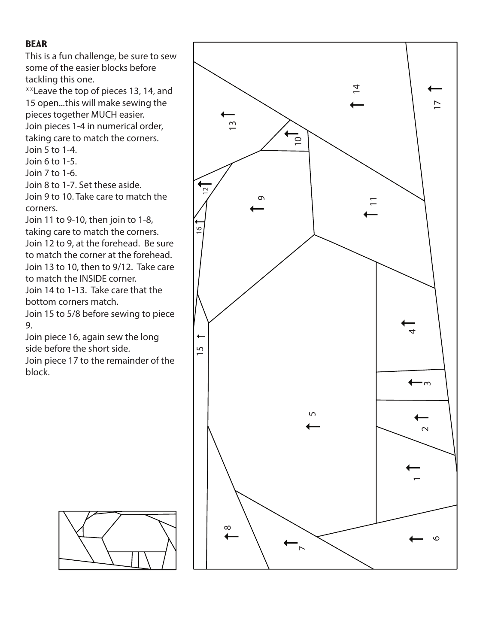#### **BEAR**

This is a fun challenge, be sure to sew some of the easier blocks before tackling this one.

\*\*Leave the top of pieces 13, 14, and 15 open...this will make sewing the pieces together MUCH easier. Join pieces 1-4 in numerical order, taking care to match the corners. Join 5 to 1-4.

Join 6 to 1-5.

Join 7 to 1-6.

Join 8 to 1-7. Set these aside.

Join 9 to 10. Take care to match the corners.

Join 11 to 9-10, then join to 1-8, taking care to match the corners. Join 12 to 9, at the forehead. Be sure to match the corner at the forehead. Join 13 to 10, then to 9/12. Take care to match the INSIDE corner. Join 14 to 1-13. Take care that the bottom corners match.

Join 15 to 5/8 before sewing to piece 9.

Join piece 16, again sew the long side before the short side.

Join piece 17 to the remainder of the block.

![](_page_26_Figure_11.jpeg)

![](_page_26_Picture_12.jpeg)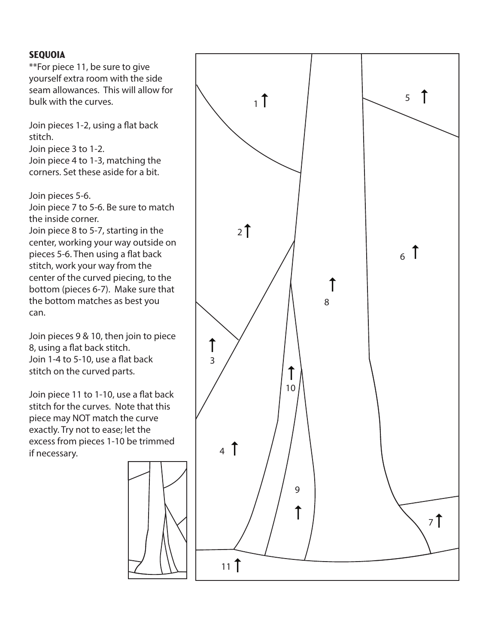#### **SEQUOIA**

\*\*For piece 11, be sure to give yourself extra room with the side seam allowances. This will allow for bulk with the curves.

Join pieces 1-2, using a flat back stitch.

Join piece 3 to 1-2. Join piece 4 to 1-3, matching the corners. Set these aside for a bit.

Join pieces 5-6.

Join piece 7 to 5-6. Be sure to match the inside corner.

Join piece 8 to 5-7, starting in the center, working your way outside on pieces 5-6. Then using a flat back stitch, work your way from the center of the curved piecing, to the bottom (pieces 6-7). Make sure that the bottom matches as best you can.

Join pieces 9 & 10, then join to piece 8, using a flat back stitch. Join 1-4 to 5-10, use a flat back stitch on the curved parts.

Join piece 11 to 1-10, use a flat back stitch for the curves. Note that this piece may NOT match the curve exactly. Try not to ease; let the excess from pieces 1-10 be trimmed if necessary.

![](_page_27_Figure_9.jpeg)

![](_page_27_Figure_10.jpeg)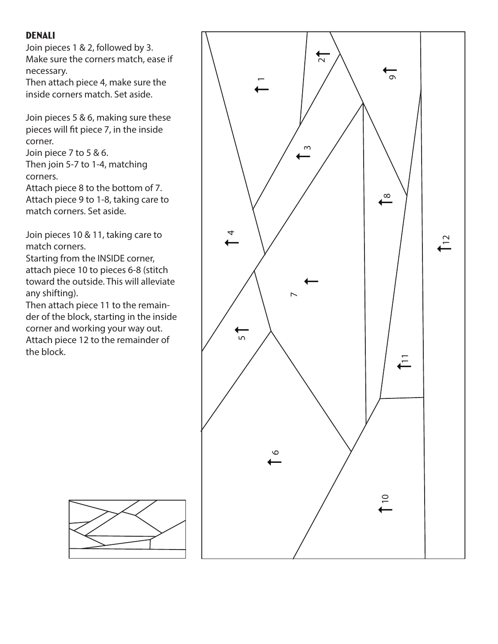#### Denali

Join pieces 1 & 2, followed by 3. Make sure the corners match, ease if necessary.

Then attach piece 4, make sure the inside corners match. Set aside.

Join pieces 5 & 6, making sure these pieces will fit piece 7, in the inside corner.

Join piece 7 to 5 & 6. Then join 5-7 to 1-4, matching corners.

Attach piece 8 to the bottom of 7. Attach piece 9 to 1-8, taking care to match corners. Set aside.

Join pieces 10 & 11, taking care to match corners.

Starting from the INSIDE corner, attach piece 10 to pieces 6-8 (stitch toward the outside. This will alleviate any shifting).

Then attach piece 11 to the remainder of the block, starting in the inside corner and working your way out. Attach piece 12 to the remainder of the block.

![](_page_28_Figure_9.jpeg)

![](_page_28_Figure_10.jpeg)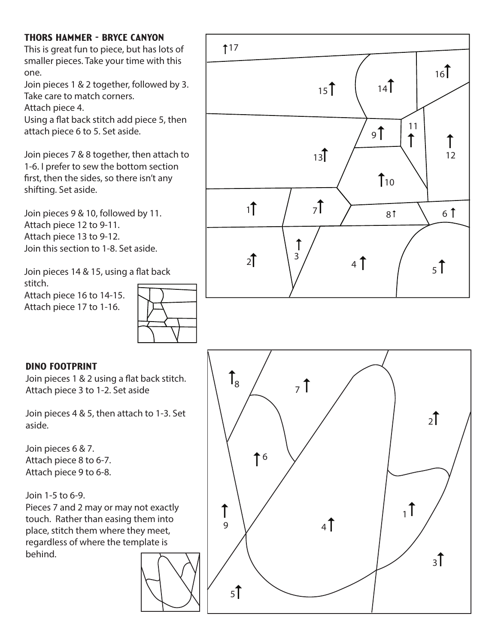# Thors Hammer - Bryce Canyon

This is great fun to piece, but has lots of smaller pieces. Take your time with this one.

Join pieces 1 & 2 together, followed by 3. Take care to match corners.

Attach piece 4.

Using a flat back stitch add piece 5, then attach piece 6 to 5. Set aside.

Join pieces 7 & 8 together, then attach to 1-6. I prefer to sew the bottom section first, then the sides, so there isn't any shifting. Set aside.

Join pieces 9 & 10, followed by 11. Attach piece 12 to 9-11. Attach piece 13 to 9-12. Join this section to 1-8. Set aside.

Join pieces 14 & 15, using a flat back stitch.

Attach piece 16 to 14-15. Attach piece 17 to 1-16.

![](_page_29_Figure_9.jpeg)

#### Dino Footprint

Join pieces 1 & 2 using a flat back stitch. Attach piece 3 to 1-2. Set aside

Join pieces 4 & 5, then attach to 1-3. Set aside.

Join pieces 6 & 7. Attach piece 8 to 6-7. Attach piece 9 to 6-8.

Join 1-5 to 6-9. Pieces 7 and 2 may or may not exactly touch. Rather than easing them into place, stitch them where they meet, regardless of where the template is behind.

![](_page_29_Figure_15.jpeg)

![](_page_29_Figure_16.jpeg)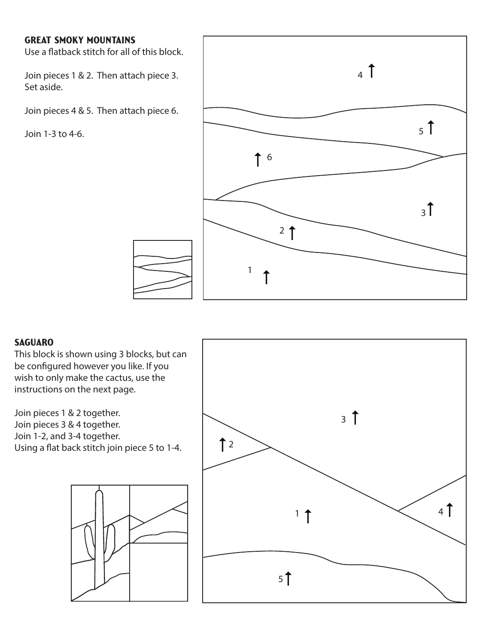#### Great Smoky Mountains

Use a flatback stitch for all of this block.

Join pieces 1 & 2. Then attach piece 3. Set aside.

Join pieces 4 & 5. Then attach piece 6.

Join 1-3 to 4-6.

![](_page_30_Figure_5.jpeg)

#### **SAGUARO**

This block is shown using 3 blocks, but can be configured however you like. If you wish to only make the cactus, use the instructions on the next page.

Join pieces 1 & 2 together. Join pieces 3 & 4 together. Join 1-2, and 3-4 together. Using a flat back stitch join piece 5 to 1-4.

![](_page_30_Figure_9.jpeg)

![](_page_30_Figure_10.jpeg)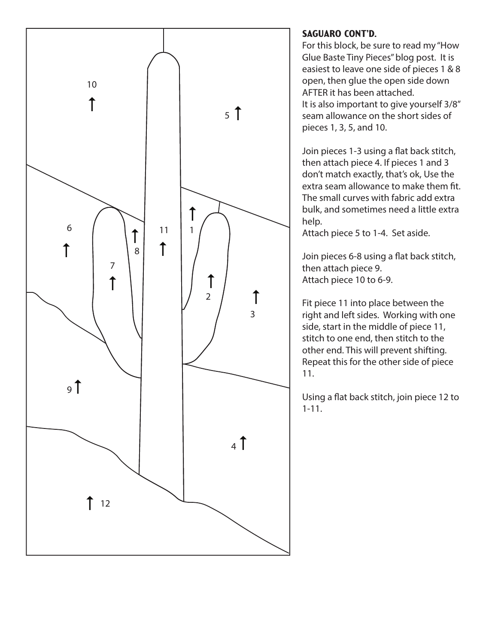![](_page_31_Figure_0.jpeg)

#### Saguaro Cont'd.

For this block, be sure to read my "How Glue Baste Tiny Pieces" blog post. It is easiest to leave one side of pieces 1 & 8 open, then glue the open side down AFTER it has been attached. It is also important to give yourself 3/8" seam allowance on the short sides of pieces 1, 3, 5, and 10.

Join pieces 1-3 using a flat back stitch, then attach piece 4. If pieces 1 and 3 don't match exactly, that's ok, Use the extra seam allowance to make them fit. The small curves with fabric add extra bulk, and sometimes need a little extra help.

Attach piece 5 to 1-4. Set aside.

Join pieces 6-8 using a flat back stitch, then attach piece 9. Attach piece 10 to 6-9.

Fit piece 11 into place between the right and left sides. Working with one side, start in the middle of piece 11, stitch to one end, then stitch to the other end. This will prevent shifting. Repeat this for the other side of piece 11.

Using a flat back stitch, join piece 12 to 1-11.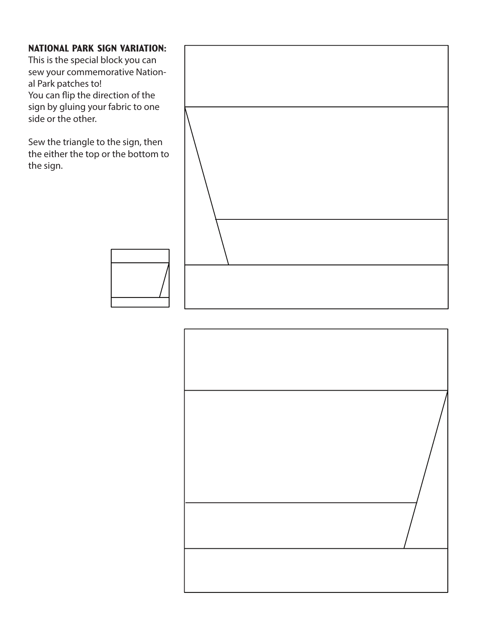#### National Park Sign Variation:

This is the special block you can sew your commemorative National Park patches to! You can flip the direction of the sign by gluing your fabric to one side or the other.

Sew the triangle to the sign, then the either the top or the bottom to the sign.

![](_page_32_Picture_3.jpeg)

![](_page_32_Picture_4.jpeg)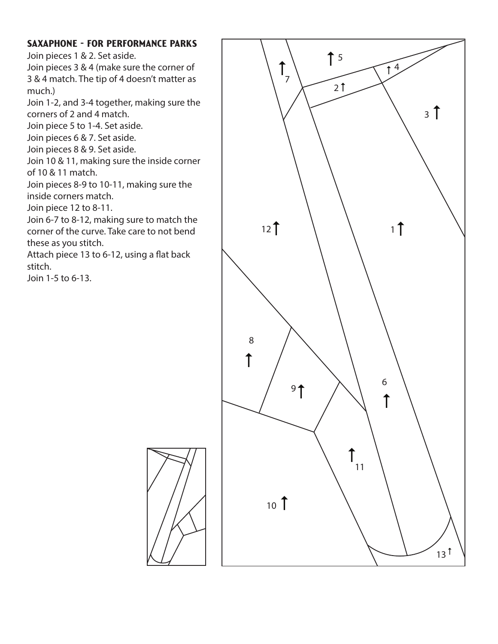#### Saxaphone - for performance parks

Join pieces 1 & 2. Set aside.

Join pieces 3 & 4 (make sure the corner of 3 & 4 match. The tip of 4 doesn't matter as much.)

Join 1-2, and 3-4 together, making sure the corners of 2 and 4 match.

Join piece 5 to 1-4. Set aside.

Join pieces 6 & 7. Set aside.

Join pieces 8 & 9. Set aside.

Join 10 & 11, making sure the inside corner of 10 & 11 match.

Join pieces 8-9 to 10-11, making sure the inside corners match.

Join piece 12 to 8-11.

Join 6-7 to 8-12, making sure to match the corner of the curve. Take care to not bend these as you stitch.

Attach piece 13 to 6-12, using a flat back stitch.

Join 1-5 to 6-13.

![](_page_33_Figure_13.jpeg)

![](_page_33_Picture_14.jpeg)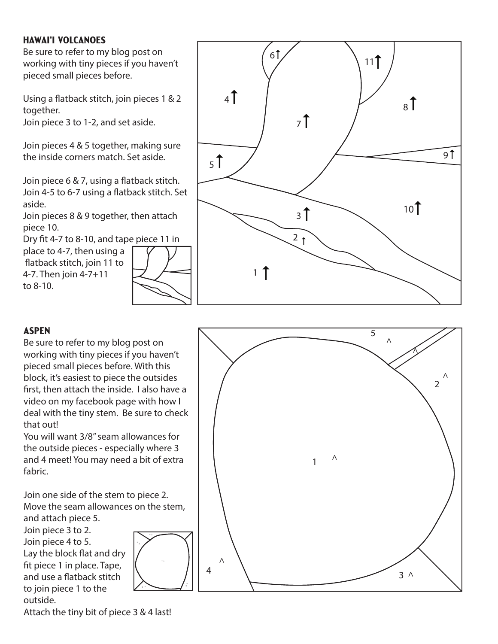#### Hawai'i Volcanoes

Be sure to refer to my blog post on working with tiny pieces if you haven't pieced small pieces before.

Using a flatback stitch, join pieces 1 & 2 together.

Join piece 3 to 1-2, and set aside.

Join pieces 4 & 5 together, making sure the inside corners match. Set aside.

Join piece 6 & 7, using a flatback stitch. Join 4-5 to 6-7 using a flatback stitch. Set aside.

Join pieces 8 & 9 together, then attach piece 10.

Dry fit 4-7 to 8-10, and tape piece 11 in place to 4-7, then using a flatback stitch, join 11 to 4-7. Then join 4-7+11 to 8-10.

![](_page_34_Figure_8.jpeg)

![](_page_34_Figure_9.jpeg)

#### **ASPEN**

Be sure to refer to my blog post on working with tiny pieces if you haven't pieced small pieces before. With this block, it's easiest to piece the outsides first, then attach the inside. I also have a video on my facebook page with how I deal with the tiny stem. Be sure to check that out!

You will want 3/8" seam allowances for the outside pieces - especially where 3 and 4 meet! You may need a bit of extra fabric.

Join one side of the stem to piece 2. Move the seam allowances on the stem, and attach piece 5.

│<br>│<br>│

3

Join piece 3 to 2. Join piece 4 to 5. Lay the block flat and dry fit piece 1 in place. Tape, and use a flatback stitch to join piece 1 to the outside.

Attach the tiny bit of piece 3 & 4 last!

![](_page_34_Figure_16.jpeg)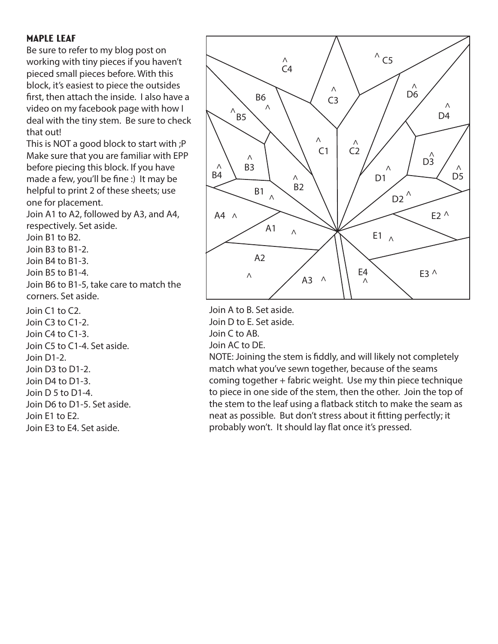#### Maple Leaf

Be sure to refer to my blog post on working with tiny pieces if you haven't pieced small pieces before. With this block, it's easiest to piece the outsides first, then attach the inside. I also have a video on my facebook page with how I deal with the tiny stem. Be sure to check that out!

This is NOT a good block to start with ;P Make sure that you are familiar with EPP before piecing this block. If you have made a few, you'll be fine :) It may be helpful to print 2 of these sheets; use one for placement.

Join A1 to A2, followed by A3, and A4, respectively. Set aside.

Join B1 to B2.

Join B3 to B1-2.

Join B4 to B1-3.

Join B5 to B1-4.

Join B6 to B1-5, take care to match the corners. Set aside.

Join C1 to C2. Join C3 to C1-2. Join C4 to C1-3. Join C5 to C1-4. Set aside. Join D1-2.

Join D3 to D1-2. Join D4 to D1-3. Join D 5 to D1-4. Join D6 to D1-5. Set aside. Join E1 to E2.

Join E3 to E4. Set aside.

![](_page_35_Figure_12.jpeg)

Join A to B. Set aside. Join D to E. Set aside. Join C to AB. Join AC to DE.

NOTE: Joining the stem is fiddly, and will likely not completely match what you've sewn together, because of the seams coming together + fabric weight. Use my thin piece technique to piece in one side of the stem, then the other. Join the top of the stem to the leaf using a flatback stitch to make the seam as neat as possible. But don't stress about it fitting perfectly; it probably won't. It should lay flat once it's pressed.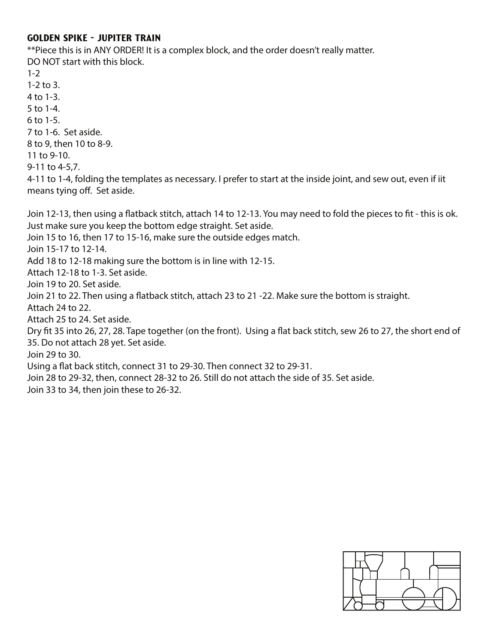#### Golden Spike - Jupiter Train

\*\*Piece this is in ANY ORDER! It is a complex block, and the order doesn't really matter. DO NOT start with this block.

 $1 - 2$ 

1-2 to 3.

- 4 to 1-3.
- 5 to 1-4.
- 6 to 1-5.

7 to 1-6. Set aside.

8 to 9, then 10 to 8-9.

11 to 9-10.

9-11 to 4-5,7.

4-11 to 1-4, folding the templates as necessary. I prefer to start at the inside joint, and sew out, even if iit means tying off. Set aside.

Join 12-13, then using a flatback stitch, attach 14 to 12-13. You may need to fold the pieces to fit - this is ok. Just make sure you keep the bottom edge straight. Set aside.

Join 15 to 16, then 17 to 15-16, make sure the outside edges match.

Join 15-17 to 12-14.

Add 18 to 12-18 making sure the bottom is in line with 12-15.

Attach 12-18 to 1-3. Set aside.

Join 19 to 20. Set aside.

Join 21 to 22. Then using a flatback stitch, attach 23 to 21 -22. Make sure the bottom is straight.

Attach 24 to 22.

Attach 25 to 24. Set aside.

Dry fit 35 into 26, 27, 28. Tape together (on the front). Using a flat back stitch, sew 26 to 27, the short end of 35. Do not attach 28 yet. Set aside.

Join 29 to 30.

Using a flat back stitch, connect 31 to 29-30. Then connect 32 to 29-31.

Join 28 to 29-32, then, connect 28-32 to 26. Still do not attach the side of 35. Set aside.

Join 33 to 34, then join these to 26-32.

![](_page_36_Figure_26.jpeg)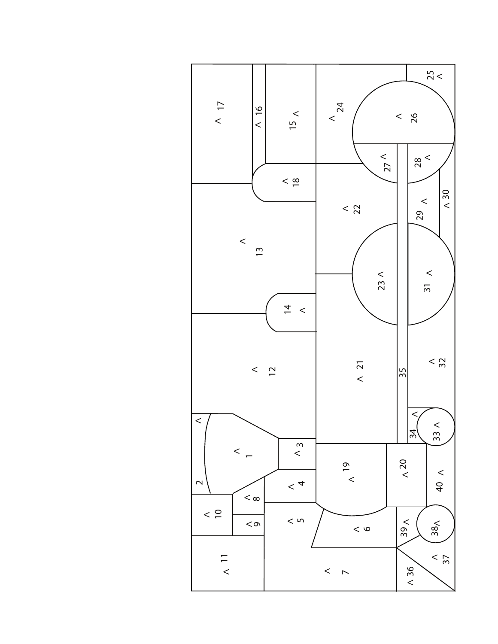![](_page_37_Figure_0.jpeg)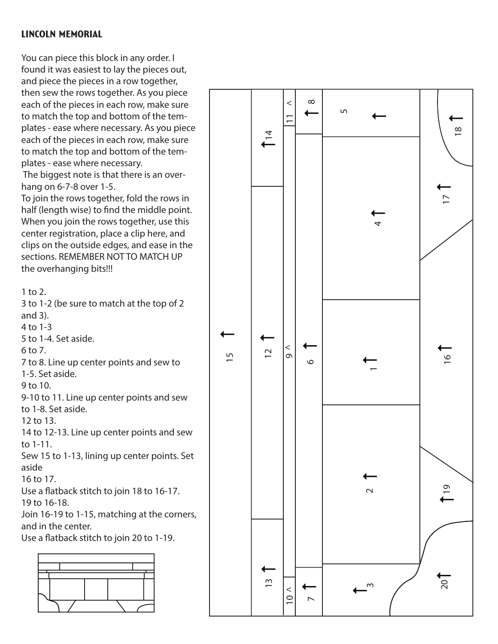#### Lincoln Memorial

You can piece this block in any order. I found it was easiest to lay the pieces out, and piece the pieces in a row together, then sew the rows together. As you piece each of the pieces in each row, make sure to match the top and bottom of the tem plates - ease where necessary. As you piece each of the pieces in each row, make sure to match the top and bottom of the tem plates - ease where necessary.

 The biggest note is that there is an over hang on 6-7-8 over 1-5.

To join the rows together, fold the rows in half (length wise) to find the middle point. When you join the rows together, use this center registration, place a clip here, and clips on the outside edges, and ease in the sections. REMEMBER NOT TO MATCH UP the overhanging bits!!!

1 to 2.

3 to 1-2 (be sure to match at the top of 2 and 3). 4 to 1-3

5 to 1-4. Set aside.

6 to 7.

7 to 8. Line up center points and sew to 1-5. Set aside.

9 to 10.

9-10 to 11. Line up center points and sew to 1-8. Set aside.

12 to 13.

14 to 12-13. Line up center points and sew to 1-11.

Sew 15 to 1-13, lining up center points. Set aside

16 to 17.

Use a flatback stitch to join 18 to 16-17. 19 to 16-18.

Join 16-19 to 1-15, matching at the corners, and in the center.

Use a flatback stitch to join 20 to 1-19.

![](_page_38_Figure_18.jpeg)

![](_page_38_Figure_19.jpeg)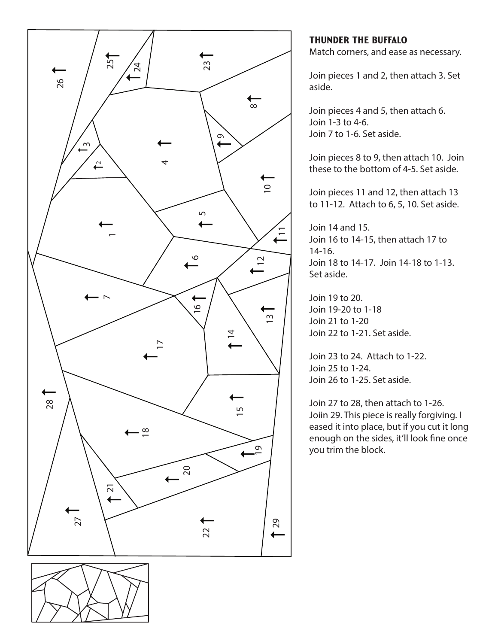![](_page_39_Figure_0.jpeg)

# Thunder the Buffalo

Match corners, and ease as necessary.

Join pieces 1 and 2, then attach 3. Set aside.

Join pieces 4 and 5, then attach 6. Join 1-3 to 4-6. Join 7 to 1-6. Set aside.

Join pieces 8 to 9, then attach 10. Join these to the bottom of 4-5. Set aside.

Join pieces 11 and 12, then attach 13 to 11-12. Attach to 6, 5, 10. Set aside.

Join 14 and 15. Join 16 to 14-15, then attach 17 to 14-16. Join 18 to 14-17. Join 14-18 to 1-13. Set aside.

Join 19 to 20. Join 19-20 to 1-18 Join 21 to 1-20 Join 22 to 1-21. Set aside.

Join 23 to 24. Attach to 1-22. Join 25 to 1-24. Join 26 to 1-25. Set aside.

Join 27 to 28, then attach to 1-26. Joiin 29. This piece is really forgiving. I eased it into place, but if you cut it long enough on the sides, it'll look fine once you trim the block.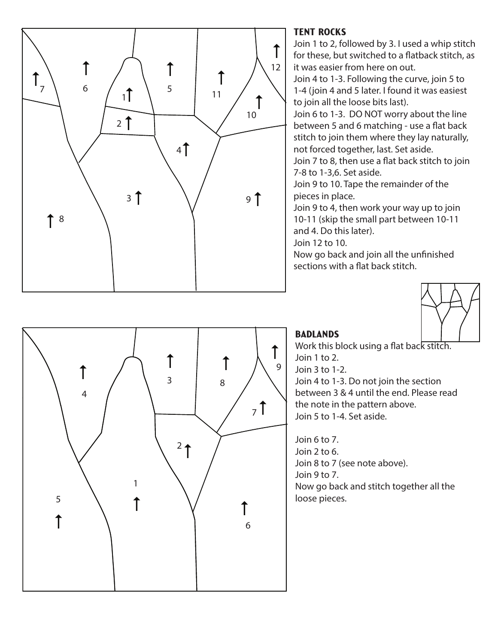![](_page_40_Figure_0.jpeg)

## Tent Rocks

Join 1 to 2, followed by 3. I used a whip stitch for these, but switched to a flatback stitch, as it was easier from here on out.

Join 4 to 1-3. Following the curve, join 5 to 1-4 (join 4 and 5 later. I found it was easiest to join all the loose bits last).

Join 6 to 1-3. DO NOT worry about the line between 5 and 6 matching - use a flat back stitch to join them where they lay naturally, not forced together, last. Set aside.

Join 7 to 8, then use a flat back stitch to join 7-8 to 1-3,6. Set aside.

Join 9 to 10. Tape the remainder of the pieces in place.

Join 9 to 4, then work your way up to join 10-11 (skip the small part between 10-11 and 4. Do this later).

Join 12 to 10.

Now go back and join all the unfinished sections with a flat back stitch.

![](_page_40_Picture_10.jpeg)

![](_page_40_Figure_11.jpeg)

# **BADLANDS**

Work this block using a flat back stitch. Join 1 to 2. Join 3 to 1-2. Join 4 to 1-3. Do not join the section between 3 & 4 until the end. Please read the note in the pattern above. Join 5 to 1-4. Set aside.

Join 6 to 7. Join 2 to 6. Join 8 to 7 (see note above). Join 9 to 7. Now go back and stitch together all the loose pieces.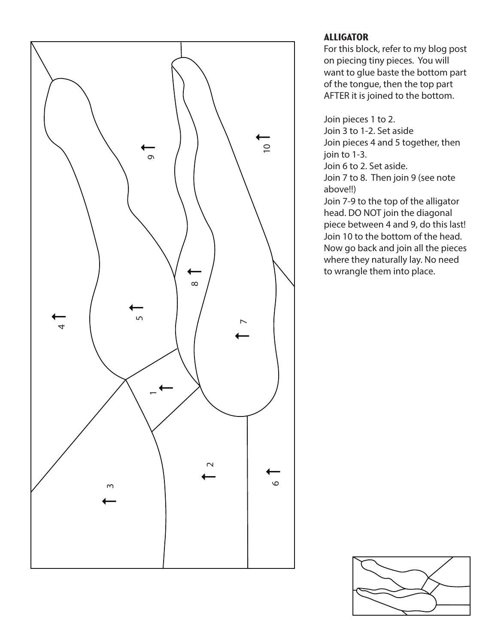![](_page_41_Figure_0.jpeg)

# **ALLIGATOR**

For this block, refer to my blog post on piecing tiny pieces. You will want to glue baste the bottom part of the tongue, then the top part AFTER it is joined to the bottom.

Join pieces 1 to 2. Join 3 to 1-2. Set aside Join pieces 4 and 5 together, then join to 1-3.

Join 6 to 2. Set aside.

Join 7 to 8. Then join 9 (see note above!!)

Join 7-9 to the top of the alligator head. DO NOT join the diagonal piece between 4 and 9, do this last! Join 10 to the bottom of the head. Now go back and join all the pieces where they naturally lay. No need to wrangle them into place.

![](_page_41_Figure_7.jpeg)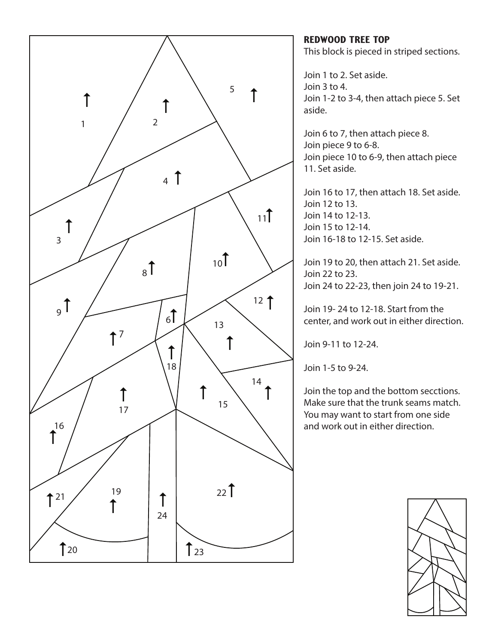![](_page_42_Figure_0.jpeg)

Redwood Tree Top This block is pieced in striped sections.

Join 1 to 2. Set aside. Join 3 to 4. Join 1-2 to 3-4, then attach piece 5. Set aside.

Join 6 to 7, then attach piece 8. Join piece 9 to 6-8. Join piece 10 to 6-9, then attach piece 11. Set aside.

Join 16 to 17, then attach 18. Set aside. Join 12 to 13. Join 14 to 12-13. Join 15 to 12-14. Join 16-18 to 12-15. Set aside.

Join 19 to 20, then attach 21. Set aside. Join 22 to 23. Join 24 to 22-23, then join 24 to 19-21.

Join 19- 24 to 12-18. Start from the center, and work out in either direction.

Join 9-11 to 12-24.

Join 1-5 to 9-24.

Join the top and the bottom secctions. Make sure that the trunk seams match. You may want to start from one side and work out in either direction.

![](_page_42_Picture_10.jpeg)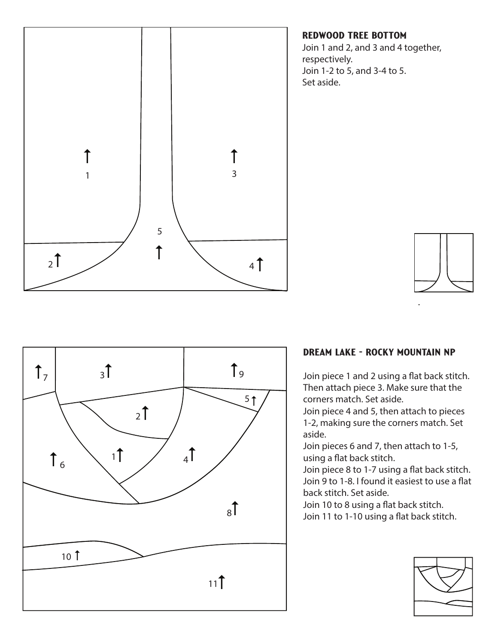![](_page_43_Figure_0.jpeg)

#### Redwood Tree Bottom

Join 1 and 2, and 3 and 4 together, respectively. Join 1-2 to 5, and 3-4 to 5. Set aside.

![](_page_43_Picture_3.jpeg)

![](_page_43_Figure_4.jpeg)

#### Dream Lake - Rocky Mountain NP

Join piece 1 and 2 using a flat back stitch. Then attach piece 3. Make sure that the corners match. Set aside.

Join piece 4 and 5, then attach to pieces 1-2, making sure the corners match. Set aside.

Join pieces 6 and 7, then attach to 1-5, using a flat back stitch.

Join piece 8 to 1-7 using a flat back stitch. Join 9 to 1-8. I found it easiest to use a flat back stitch. Set aside.

Join 10 to 8 using a flat back stitch. Join 11 to 1-10 using a flat back stitch.

![](_page_43_Figure_11.jpeg)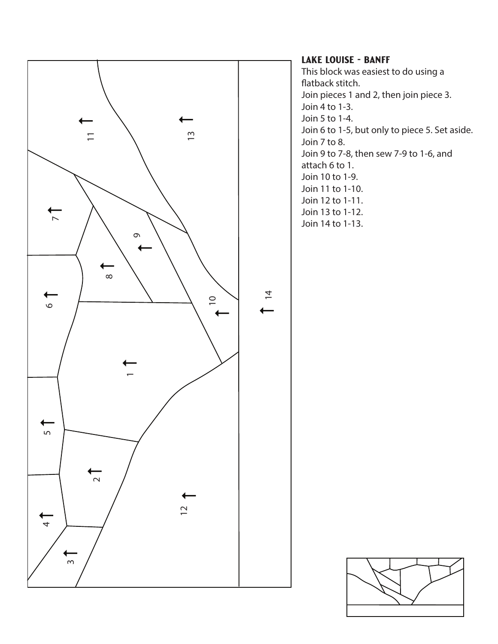![](_page_44_Figure_0.jpeg)

#### Lake Louise - Banff

This block was easiest to do using a flatback stitch. Join pieces 1 and 2, then join piece 3. Join 4 to 1-3. Join 5 to 1-4. Join 6 to 1-5, but only to piece 5. Set aside. Join 7 to 8. Join 9 to 7-8, then sew 7-9 to 1-6, and attach 6 to 1. Join 10 to 1-9. Join 11 to 1-10. Join 12 to 1-11. Join 13 to 1-12. Join 14 to 1-13.

![](_page_44_Figure_3.jpeg)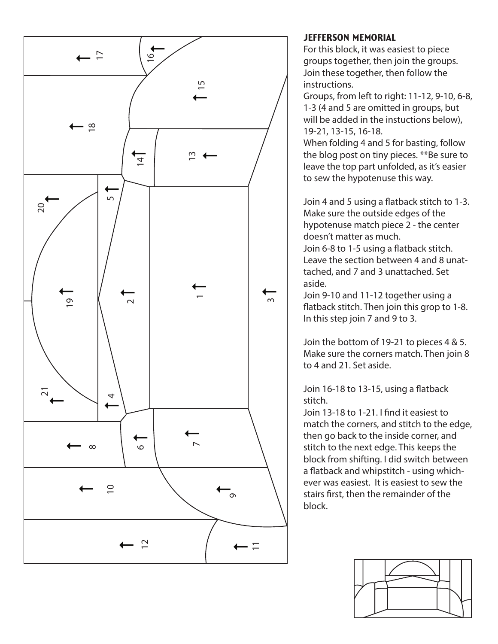![](_page_45_Figure_0.jpeg)

#### Jefferson Memorial

For this block, it was easiest to piece groups together, then join the groups. Join these together, then follow the instructions.

Groups, from left to right: 11-12, 9-10, 6-8, 1-3 (4 and 5 are omitted in groups, but will be added in the instuctions below), 19-21, 13-15, 16-18.

When folding 4 and 5 for basting, follow the blog post on tiny pieces. \*\*Be sure to leave the top part unfolded, as it's easier to sew the hypotenuse this way.

Join 4 and 5 using a flatback stitch to 1-3. Make sure the outside edges of the hypotenuse match piece 2 - the center doesn't matter as much.

Join 6-8 to 1-5 using a flatback stitch. Leave the section between 4 and 8 unattached, and 7 and 3 unattached. Set aside.

Join 9-10 and 11-12 together using a flatback stitch. Then join this grop to 1-8. In this step join 7 and 9 to 3.

Join the bottom of 19-21 to pieces 4 & 5. Make sure the corners match. Then join 8 to 4 and 21. Set aside.

Join  $16-18$  to  $13-15$ , using a flatback stitch.

Join 13-18 to 1-21. I find it easiest to match the corners, and stitch to the edge, then go back to the inside corner, and stitch to the next edge. This keeps the block from shifting. I did switch between a flatback and whipstitch - using whichever was easiest. It is easiest to sew the stairs first, then the remainder of the block.

![](_page_45_Figure_11.jpeg)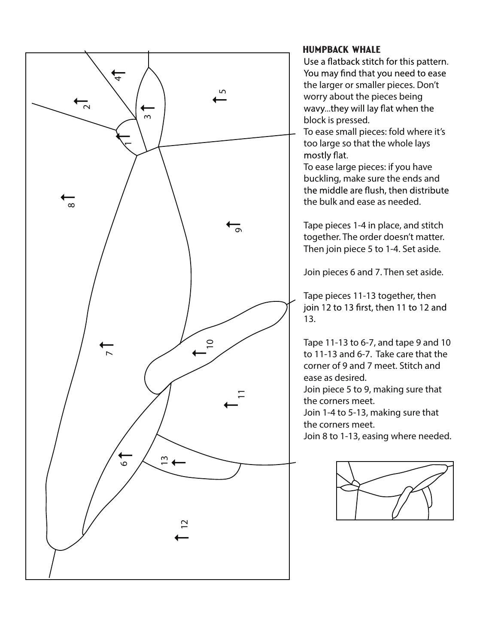![](_page_46_Figure_0.jpeg)

#### Humpback Whale

Use a flatback stitch for this pattern. You may find that you need to ease the larger or smaller pieces. Don't worry about the pieces being wavy...they will lay flat when the block is pressed.

To ease small pieces: fold where it's too large so that the whole lays mostly flat.

To ease large pieces: if you have buckling, make sure the ends and the middle are flush, then distribute the bulk and ease as needed.

Tape pieces 1-4 in place, and stitch together. The order doesn't matter. Then join piece 5 to 1-4. Set aside.

Join pieces 6 and 7. Then set aside.

Tape pieces 11-13 together, then join 12 to 13 first, then 11 to 12 and 13.

Tape 11-13 to 6-7, and tape 9 and 10 to 11-13 and 6-7. Take care that the corner of 9 and 7 meet. Stitch and ease as desired.

Join piece 5 to 9, making sure that the corners meet.

Join 1-4 to 5-13, making sure that the corners meet.

Join 8 to 1-13, easing where needed.

![](_page_46_Figure_12.jpeg)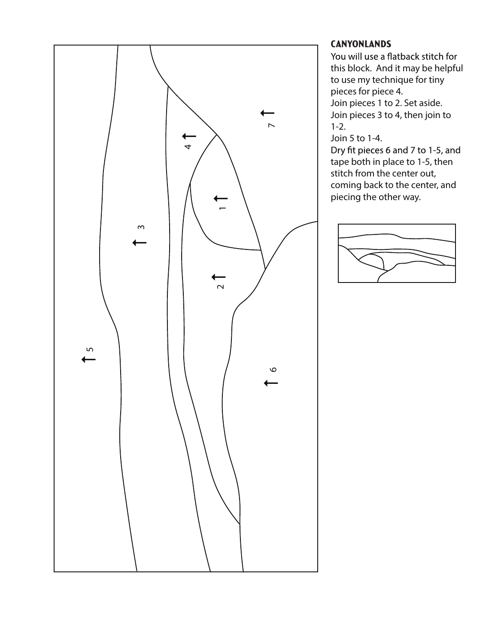![](_page_47_Figure_0.jpeg)

#### **CANYONLANDS**

You will use a flatback stitch for this block. And it may be helpful to use my technique for tiny pieces for piece 4. Join pieces 1 to 2. Set aside.

Join pieces 3 to 4, then join to 1-2.

Join 5 to 1-4.<br>Dry fit pieces 6 and 7 to 1-5, and tape both in place to 1-5, then stitch from the center out, coming back to the center, and piecing the other way.

![](_page_47_Figure_6.jpeg)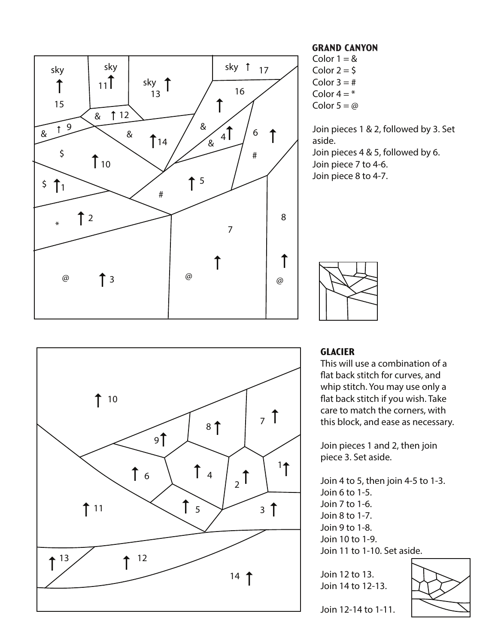![](_page_48_Figure_0.jpeg)

![](_page_48_Figure_1.jpeg)

#### Grand Canyon

Color  $1 = 8$ Color  $2 = 5$ Color  $3 = #$ Color  $4 = *$ Color  $5 = \omega$ 

Join pieces 1 & 2, followed by 3. Set aside. Join pieces 4 & 5, followed by 6. Join piece 7 to 4-6. Join piece 8 to 4-7.

![](_page_48_Figure_5.jpeg)

#### **GLACIER**

This will use a combination of a flat back stitch for curves, and whip stitch. You may use only a flat back stitch if you wish. Take care to match the corners, with this block, and ease as necessary.

Join pieces 1 and 2, then join piece 3. Set aside.

Join 4 to 5, then join 4-5 to 1-3. Join 6 to 1-5. Join 7 to 1-6. Join 8 to 1-7. Join 9 to 1-8. Join 10 to 1-9. Join 11 to 1-10. Set aside.

Join 12 to 13. Join 14 to 12-13.

![](_page_48_Figure_11.jpeg)

Join 12-14 to 1-11.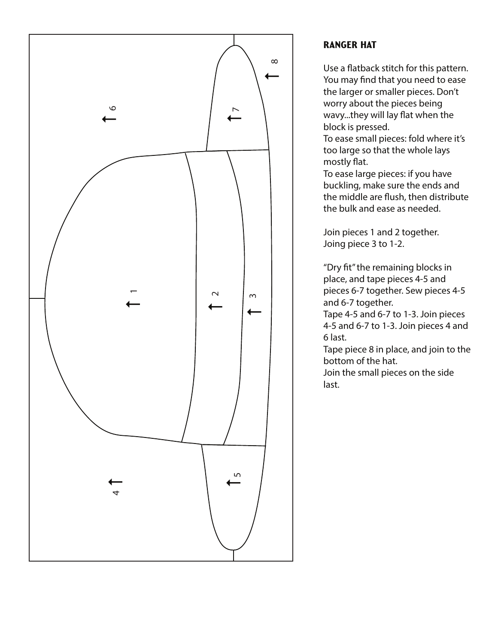![](_page_49_Figure_0.jpeg)

### Ranger Hat

Use a flatback stitch for this pattern. You may find that you need to ease the larger or smaller pieces. Don't worry about the pieces being wavy...they will lay flat when the block is pressed.

To ease small pieces: fold where it's too large so that the whole lays mostly flat.

To ease large pieces: if you have buckling, make sure the ends and the middle are flush, then distribute the bulk and ease as needed.

Join pieces 1 and 2 together. Joing piece 3 to 1-2.

"Dry fit" the remaining blocks in place, and tape pieces 4-5 and pieces 6-7 together. Sew pieces 4-5 and 6-7 together.

Tape 4-5 and 6-7 to 1-3. Join pieces 4-5 and 6-7 to 1-3. Join pieces 4 and 6 last.

Tape piece 8 in place, and join to the bottom of the hat.

Join the small pieces on the side last.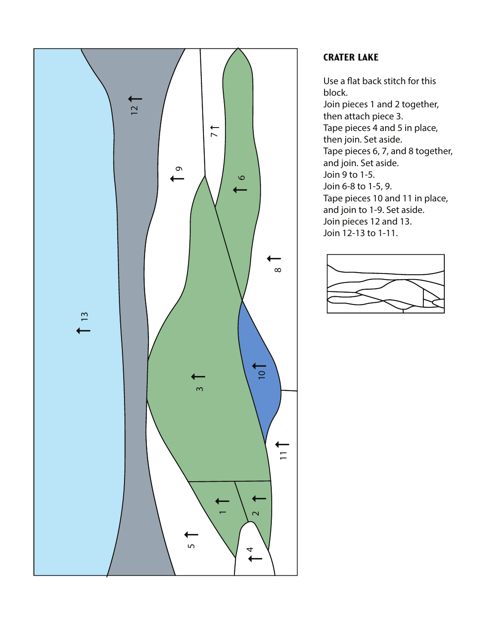![](_page_50_Figure_0.jpeg)

## **CRATER LAKE**

Use a flat back stitch for this block. Join pieces 1 and 2 together, then attach piece 3. Tape pieces 4 and 5 in place, then join. Set aside. Tape pieces 6, 7, and 8 together, and join. Set aside. Join 9 to 1-5. Join 6-8 to 1-5, 9. Tape pieces 10 and 11 in place, and join to 1-9. Set aside. Join pieces 12 and 13. Join 12-13 to 1-11.

![](_page_50_Figure_3.jpeg)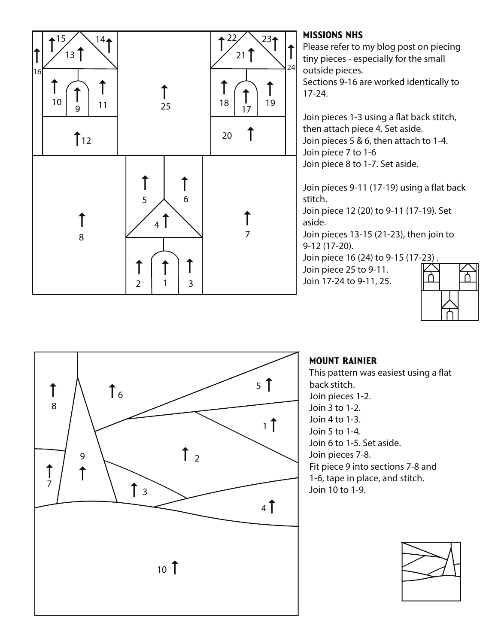![](_page_51_Figure_0.jpeg)

Please refer to my blog post on piecing tiny pieces - especially for the small outside pieces.

Sections 9-16 are worked identically to 17-24.

Join pieces 1-3 using a flat back stitch, then attach piece 4. Set aside. Join pieces 5 & 6, then attach to 1-4. Join piece 7 to 1-6 Join piece 8 to 1-7. Set aside.

Join pieces 9-11 (17-19) using a flat back stitch.

Join piece 12 (20) to 9-11 (17-19). Set aside.

Join pieces 13-15 (21-23), then join to 9-12 (17-20).

Join piece 16 (24) to 9-15 (17-23) .

Join piece 25 to 9-11.

![](_page_51_Picture_10.jpeg)

![](_page_51_Figure_11.jpeg)

# Mount Rainier

This pattern was easiest using a flat back stitch. Join pieces 1-2. Join 3 to 1-2. Join 4 to 1-3. Join 5 to 1-4. Join 6 to 1-5. Set aside. Join pieces 7-8. Fit piece 9 into sections 7-8 and 1-6, tape in place, and stitch. Join 10 to 1-9.

![](_page_51_Figure_14.jpeg)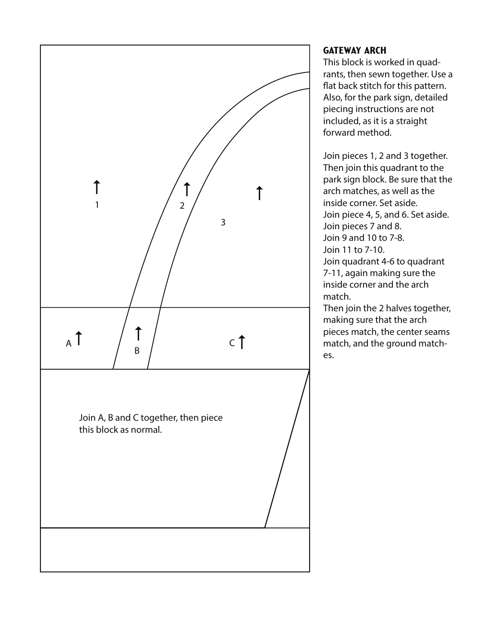![](_page_52_Figure_0.jpeg)

# **GATEWAY ARCH**

This block is worked in quadrants, then sewn together. Use a flat back stitch for this pattern. Also, for the park sign, detailed piecing instructions are not included, as it is a straight forward method.

Join pieces 1, 2 and 3 together. Then join this quadrant to the park sign block. Be sure that the arch matches, as well as the inside corner. Set aside. Join piece 4, 5, and 6. Set aside. Join pieces 7 and 8. Join 9 and 10 to 7-8. Join 11 to 7-10. Join quadrant 4-6 to quadrant 7-11, again making sure the inside corner and the arch

match.

Then join the 2 halves together, making sure that the arch pieces match, the center seams match, and the ground matches.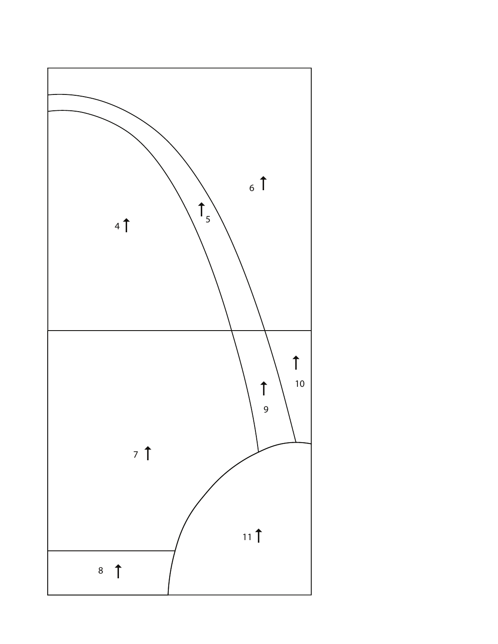![](_page_53_Figure_0.jpeg)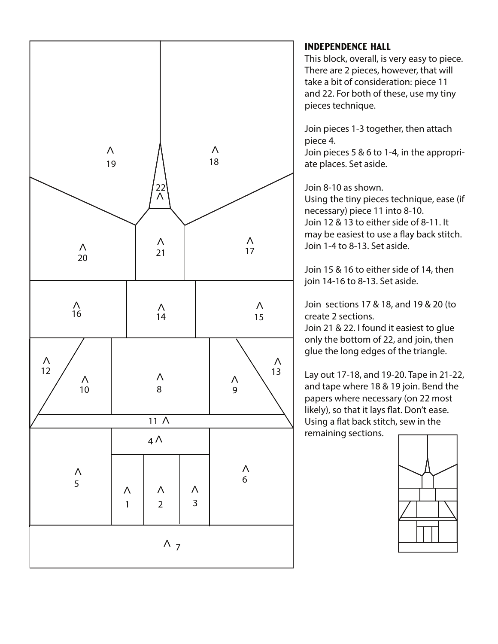![](_page_54_Figure_0.jpeg)

#### Independence Hall

This block, overall, is very easy to piece. There are 2 pieces, however, that will take a bit of consideration: piece 11 and 22. For both of these, use my tiny pieces technique.

Join pieces 1-3 together, then attach piece 4.

Join pieces 5 & 6 to 1-4, in the appropriate places. Set aside.

Join 8-10 as shown.

Using the tiny pieces technique, ease (if necessary) piece 11 into 8-10. Join 12 & 13 to either side of 8-11. It may be easiest to use a flay back stitch. Join 1-4 to 8-13. Set aside.

Join 15 & 16 to either side of 14, then join 14-16 to 8-13. Set aside.

Join sections 17 & 18, and 19 & 20 (to create 2 sections.

Join 21 & 22. I found it easiest to glue only the bottom of 22, and join, then glue the long edges of the triangle.

Lay out 17-18, and 19-20. Tape in 21-22, and tape where 18 & 19 join. Bend the papers where necessary (on 22 most likely), so that it lays flat. Don't ease. Using a flat back stitch, sew in the remaining sections.

![](_page_54_Figure_11.jpeg)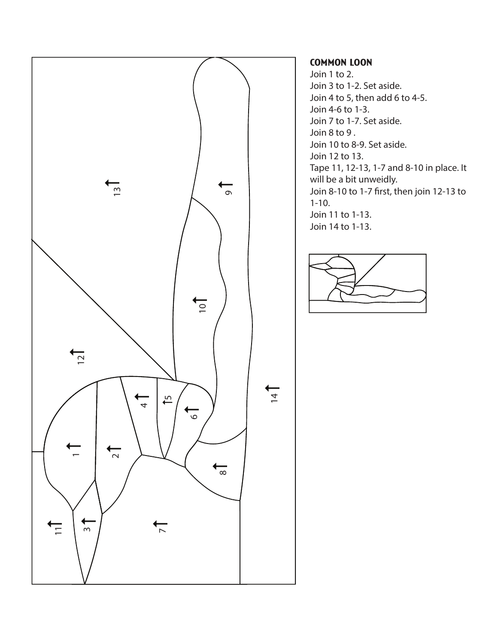![](_page_55_Figure_0.jpeg)

#### Common Loon

Join 1 to 2. Join 3 to 1-2. Set aside. Join 4 to 5, then add 6 to 4-5. Join 4-6 to 1-3. Join 7 to 1-7. Set aside. Join 8 to 9 . Join 10 to 8-9. Set aside. Join 12 to 13. Tape 11, 12-13, 1-7 and 8-10 in place. It will be a bit unweidly. Join 8-10 to 1-7 first, then join 12-13 to 1-10. Join 11 to 1-13. Join 14 to 1-13.

![](_page_55_Figure_3.jpeg)